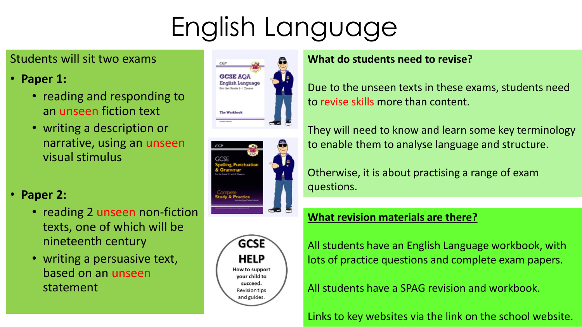# English Language

### Students will sit two exams

## • **Paper 1:**

- reading and responding to an unseen fiction text
- writing a description or narrative, using an unseen visual stimulus

## • **Paper 2:**

- reading 2 unseen non-fiction texts, one of which will be nineteenth century
- writing a persuasive text, based on an unseen statement







#### **What do students need to revise?**

Due to the unseen texts in these exams, students need to revise skills more than content.

They will need to know and learn some key terminology to enable them to analyse language and structure.

Otherwise, it is about practising a range of exam questions.

#### **What revision materials are there?**

All students have an English Language workbook, with lots of practice questions and complete exam papers.

All students have a SPAG revision and workbook.

Links to key websites via the link on the school website.